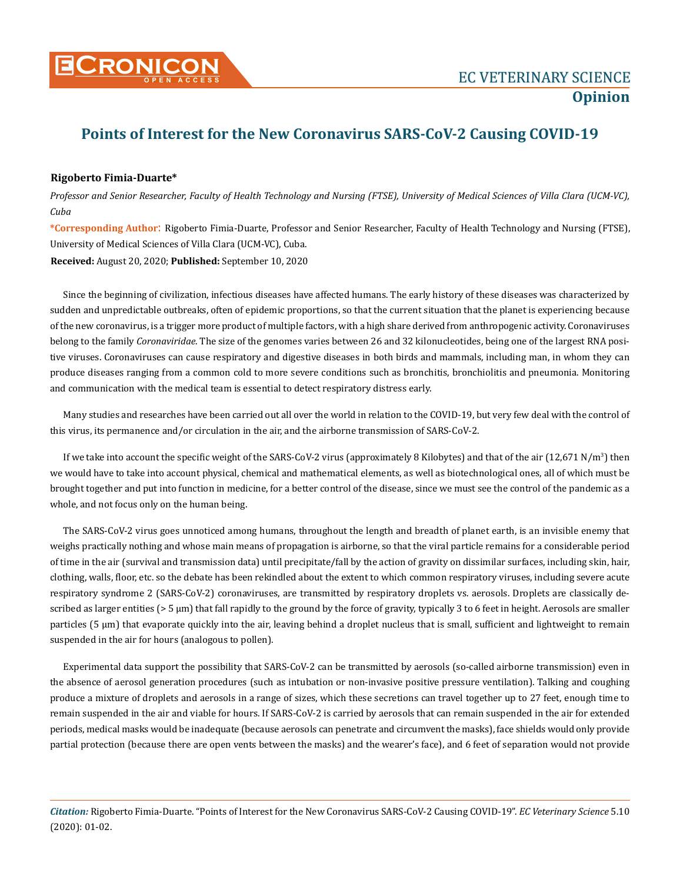

## **Points of Interest for the New Coronavirus SARS-CoV-2 Causing COVID-19**

## **Rigoberto Fimia-Duarte\***

*Professor and Senior Researcher, Faculty of Health Technology and Nursing (FTSE), University of Medical Sciences of Villa Clara (UCM-VC), Cuba* 

**\*Corresponding Author**: Rigoberto Fimia-Duarte, Professor and Senior Researcher, Faculty of Health Technology and Nursing (FTSE), University of Medical Sciences of Villa Clara (UCM-VC), Cuba.

**Received:** August 20, 2020; **Published:** September 10, 2020

Since the beginning of civilization, infectious diseases have affected humans. The early history of these diseases was characterized by sudden and unpredictable outbreaks, often of epidemic proportions, so that the current situation that the planet is experiencing because of the new coronavirus, is a trigger more product of multiple factors, with a high share derived from anthropogenic activity. Coronaviruses belong to the family *Coronaviridae*. The size of the genomes varies between 26 and 32 kilonucleotides, being one of the largest RNA positive viruses. Coronaviruses can cause respiratory and digestive diseases in both birds and mammals, including man, in whom they can produce diseases ranging from a common cold to more severe conditions such as bronchitis, bronchiolitis and pneumonia. Monitoring and communication with the medical team is essential to detect respiratory distress early.

Many studies and researches have been carried out all over the world in relation to the COVID-19, but very few deal with the control of this virus, its permanence and/or circulation in the air, and the airborne transmission of SARS-CoV-2.

If we take into account the specific weight of the SARS-CoV-2 virus (approximately 8 Kilobytes) and that of the air (12,671 N/m<sup>3</sup>) then we would have to take into account physical, chemical and mathematical elements, as well as biotechnological ones, all of which must be brought together and put into function in medicine, for a better control of the disease, since we must see the control of the pandemic as a whole, and not focus only on the human being.

The SARS-CoV-2 virus goes unnoticed among humans, throughout the length and breadth of planet earth, is an invisible enemy that weighs practically nothing and whose main means of propagation is airborne, so that the viral particle remains for a considerable period of time in the air (survival and transmission data) until precipitate/fall by the action of gravity on dissimilar surfaces, including skin, hair, clothing, walls, floor, etc. so the debate has been rekindled about the extent to which common respiratory viruses, including severe acute respiratory syndrome 2 (SARS-CoV-2) coronaviruses, are transmitted by respiratory droplets vs. aerosols. Droplets are classically described as larger entities (> 5 μm) that fall rapidly to the ground by the force of gravity, typically 3 to 6 feet in height. Aerosols are smaller particles (5 μm) that evaporate quickly into the air, leaving behind a droplet nucleus that is small, sufficient and lightweight to remain suspended in the air for hours (analogous to pollen).

Experimental data support the possibility that SARS-CoV-2 can be transmitted by aerosols (so-called airborne transmission) even in the absence of aerosol generation procedures (such as intubation or non-invasive positive pressure ventilation). Talking and coughing produce a mixture of droplets and aerosols in a range of sizes, which these secretions can travel together up to 27 feet, enough time to remain suspended in the air and viable for hours. If SARS-CoV-2 is carried by aerosols that can remain suspended in the air for extended periods, medical masks would be inadequate (because aerosols can penetrate and circumvent the masks), face shields would only provide partial protection (because there are open vents between the masks) and the wearer's face), and 6 feet of separation would not provide

*Citation:* Rigoberto Fimia-Duarte. "Points of Interest for the New Coronavirus SARS-CoV-2 Causing COVID-19". *EC Veterinary Science* 5.10 (2020): 01-02.